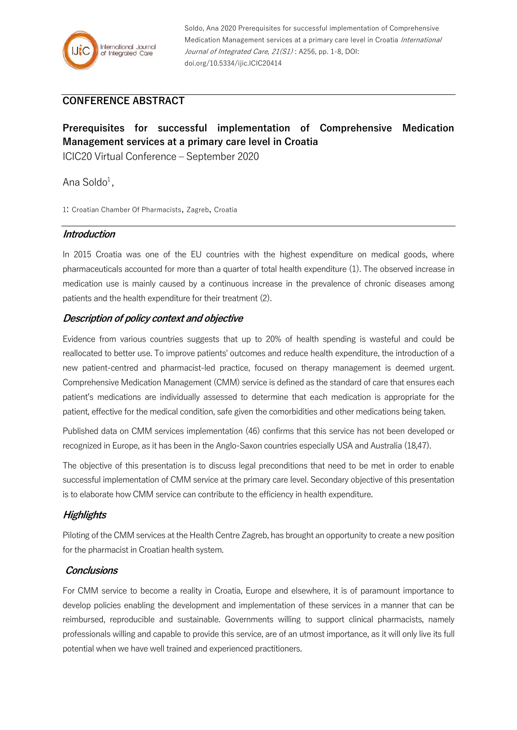

Soldo, Ana 2020 Prerequisites for successful implementation of Comprehensive Medication Management services at a primary care level in Croatia International Journal of Integrated Care, 21(S1): A256, pp. 1-8, DOI: doi.org/10.5334/ijic.ICIC20414

## **CONFERENCE ABSTRACT**

# **Prerequisites for successful implementation of Comprehensive Medication Management services at a primary care level in Croatia**

ICIC20 Virtual Conference – September 2020

Ana Soldo $^1$ ,

1: Croatian Chamber Of Pharmacists, Zagreb, Croatia

#### **Introduction**

In 2015 Croatia was one of the EU countries with the highest expenditure on medical goods, where pharmaceuticals accounted for more than a quarter of total health expenditure (1). The observed increase in medication use is mainly caused by a continuous increase in the prevalence of chronic diseases among patients and the health expenditure for their treatment (2).

## **Description of policy context and objective**

Evidence from various countries suggests that up to 20% of health spending is wasteful and could be reallocated to better use. To improve patients' outcomes and reduce health expenditure, the introduction of a new patient-centred and pharmacist-led practice, focused on therapy management is deemed urgent. Comprehensive Medication Management (CMM) service is defined as the standard of care that ensures each patient's medications are individually assessed to determine that each medication is appropriate for the patient, effective for the medical condition, safe given the comorbidities and other medications being taken.

Published data on CMM services implementation (46) confirms that this service has not been developed or recognized in Europe, as it has been in the Anglo-Saxon countries especially USA and Australia (18,47).

The objective of this presentation is to discuss legal preconditions that need to be met in order to enable successful implementation of CMM service at the primary care level. Secondary objective of this presentation is to elaborate how CMM service can contribute to the efficiency in health expenditure.

## **Highlights**

Piloting of the CMM services at the Health Centre Zagreb, has brought an opportunity to create a new position for the pharmacist in Croatian health system.

#### **Conclusions**

For CMM service to become a reality in Croatia, Europe and elsewhere, it is of paramount importance to develop policies enabling the development and implementation of these services in a manner that can be reimbursed, reproducible and sustainable. Governments willing to support clinical pharmacists, namely professionals willing and capable to provide this service, are of an utmost importance, as it will only live its full potential when we have well trained and experienced practitioners.